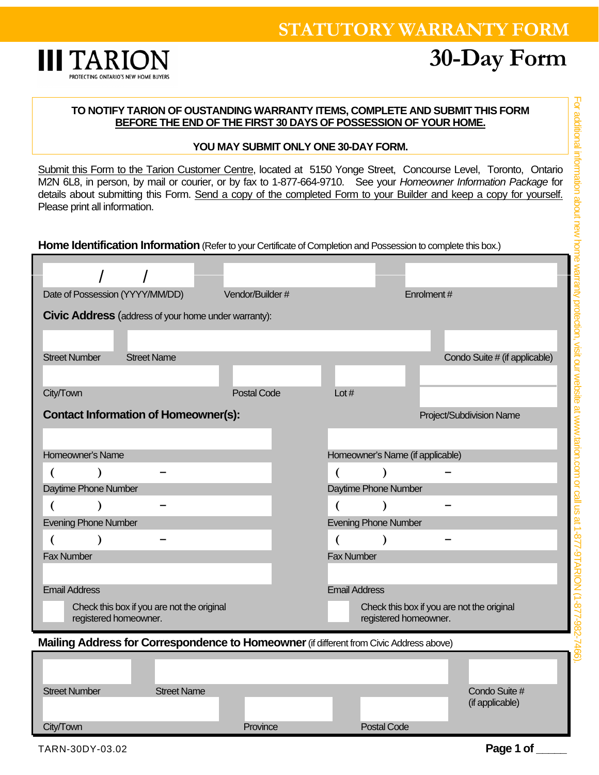## **STATUTORY WARRANTY FORM**



# **30-Day Form**

#### **TO NOTIFY TARION OF OUSTANDING WARRANTY ITEMS, COMPLETE AND SUBMIT THIS FORM BEFORE THE END OF THE FIRST 30 DAYS OF POSSESSION OF YOUR HOME.**

#### **YOU MAY SUBMIT ONLY ONE 30-DAY FORM.**

Submit this Form to the Tarion Customer Centre, located at 5150 Yonge Street, Concourse Level, Toronto, Ontario M2N 6L8, in person, by mail or courier, or by fax to 1-877-664-9710. See your *Homeowner Information Package* for details about submitting this Form. Send a copy of the completed Form to your Builder and keep a copy for yourself. Please print all information.

**Home Identification Information** (Refer to your Certificate of Completion and Possession to complete this box.)

| Date of Possession (YYYY/MM/DD)                                                         | Vendor/Builder #   | Enrolment#                                                          |
|-----------------------------------------------------------------------------------------|--------------------|---------------------------------------------------------------------|
| <b>Civic Address</b> (address of your home under warranty):                             |                    |                                                                     |
|                                                                                         |                    |                                                                     |
|                                                                                         |                    |                                                                     |
| <b>Street Name</b><br><b>Street Number</b>                                              |                    | Condo Suite # (if applicable)                                       |
|                                                                                         |                    |                                                                     |
| City/Town                                                                               | <b>Postal Code</b> | Lot $#$                                                             |
| <b>Contact Information of Homeowner(s):</b>                                             |                    | Project/Subdivision Name                                            |
|                                                                                         |                    |                                                                     |
| Homeowner's Name                                                                        |                    | Homeowner's Name (if applicable)                                    |
|                                                                                         |                    | $\lambda$                                                           |
| Daytime Phone Number                                                                    |                    | Daytime Phone Number                                                |
|                                                                                         |                    |                                                                     |
| (                                                                                       |                    | (                                                                   |
| <b>Evening Phone Number</b>                                                             |                    | <b>Evening Phone Number</b>                                         |
| €                                                                                       |                    |                                                                     |
| <b>Fax Number</b>                                                                       |                    | <b>Fax Number</b>                                                   |
|                                                                                         |                    |                                                                     |
| <b>Email Address</b>                                                                    |                    | <b>Email Address</b>                                                |
| Check this box if you are not the original<br>registered homeowner.                     |                    | Check this box if you are not the original<br>registered homeowner. |
|                                                                                         |                    |                                                                     |
| Mailing Address for Correspondence to Homeowner (if different from Civic Address above) |                    |                                                                     |
|                                                                                         |                    |                                                                     |
|                                                                                         |                    |                                                                     |
| <b>Street Number</b><br><b>Street Name</b>                                              |                    | Condo Suite #<br>(if applicable)                                    |
|                                                                                         |                    |                                                                     |
| City/Town                                                                               | Province           | <b>Postal Code</b>                                                  |